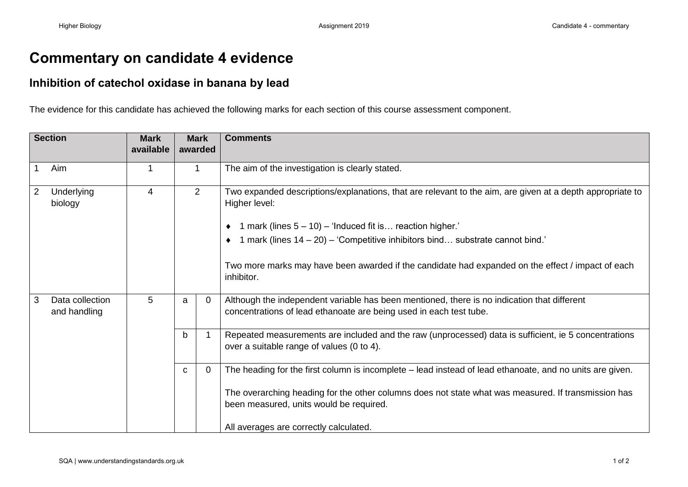## **Commentary on candidate 4 evidence**

## **Inhibition of catechol oxidase in banana by lead**

The evidence for this candidate has achieved the following marks for each section of this course assessment component.

| <b>Section</b> |                                 | <b>Mark</b><br>available | <b>Mark</b><br>awarded |          | <b>Comments</b>                                                                                                                                                                                                                                                                                                                                                                     |
|----------------|---------------------------------|--------------------------|------------------------|----------|-------------------------------------------------------------------------------------------------------------------------------------------------------------------------------------------------------------------------------------------------------------------------------------------------------------------------------------------------------------------------------------|
| $\overline{1}$ | Aim                             | 1                        | $\mathbf{1}$           |          | The aim of the investigation is clearly stated.                                                                                                                                                                                                                                                                                                                                     |
| $\overline{2}$ | Underlying<br>biology           | $\overline{4}$           | $\overline{2}$         |          | Two expanded descriptions/explanations, that are relevant to the aim, are given at a depth appropriate to<br>Higher level:<br>1 mark (lines $5 - 10$ ) – 'Induced fit is reaction higher.'<br>1 mark (lines $14 - 20$ ) – 'Competitive inhibitors bind substrate cannot bind.'<br>Two more marks may have been awarded if the candidate had expanded on the effect / impact of each |
|                |                                 |                          |                        |          | inhibitor.                                                                                                                                                                                                                                                                                                                                                                          |
| $\mathbf{3}$   | Data collection<br>and handling | 5                        | a                      | $\Omega$ | Although the independent variable has been mentioned, there is no indication that different<br>concentrations of lead ethanoate are being used in each test tube.                                                                                                                                                                                                                   |
|                |                                 |                          | $\mathsf{b}$           |          | Repeated measurements are included and the raw (unprocessed) data is sufficient, ie 5 concentrations<br>over a suitable range of values (0 to 4).                                                                                                                                                                                                                                   |
|                |                                 |                          | $\mathbf{C}$           | $\Omega$ | The heading for the first column is incomplete - lead instead of lead ethanoate, and no units are given.                                                                                                                                                                                                                                                                            |
|                |                                 |                          |                        |          | The overarching heading for the other columns does not state what was measured. If transmission has<br>been measured, units would be required.                                                                                                                                                                                                                                      |
|                |                                 |                          |                        |          | All averages are correctly calculated.                                                                                                                                                                                                                                                                                                                                              |